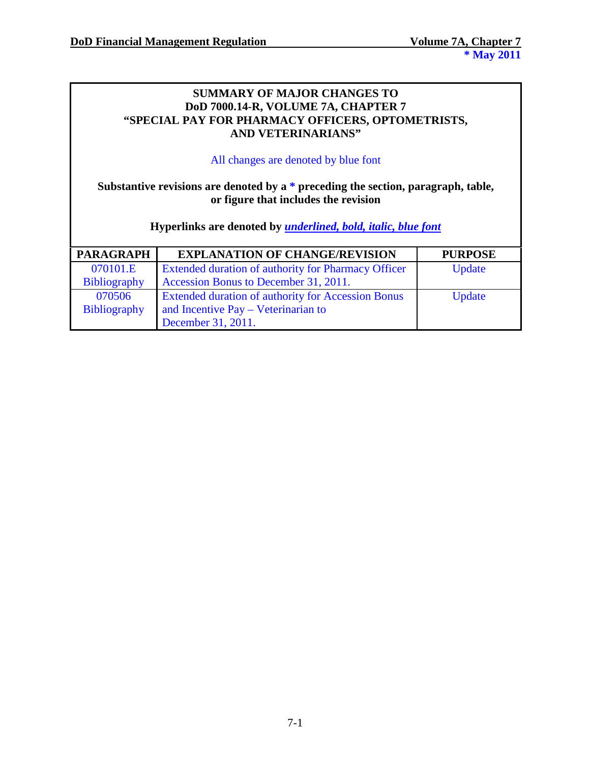## **SUMMARY OF MAJOR CHANGES TO DoD 7000.14-R, VOLUME 7A, CHAPTER 7 "SPECIAL PAY FOR PHARMACY OFFICERS, OPTOMETRISTS, AND VETERINARIANS"**

#### All changes are denoted by blue font

# **Substantive revisions are denoted by a \* preceding the section, paragraph, table, or figure that includes the revision**

**Hyperlinks are denoted by** *underlined, bold, italic, blue font*

| <b>PARAGRAPH</b>    | <b>EXPLANATION OF CHANGE/REVISION</b>                     | <b>PURPOSE</b> |
|---------------------|-----------------------------------------------------------|----------------|
| 070101.E            | Extended duration of authority for Pharmacy Officer       | Update         |
| <b>Bibliography</b> | Accession Bonus to December 31, 2011.                     |                |
| 070506              | <b>Extended duration of authority for Accession Bonus</b> | Update         |
| <b>Bibliography</b> | and Incentive Pay – Veterinarian to                       |                |
|                     | December 31, 2011.                                        |                |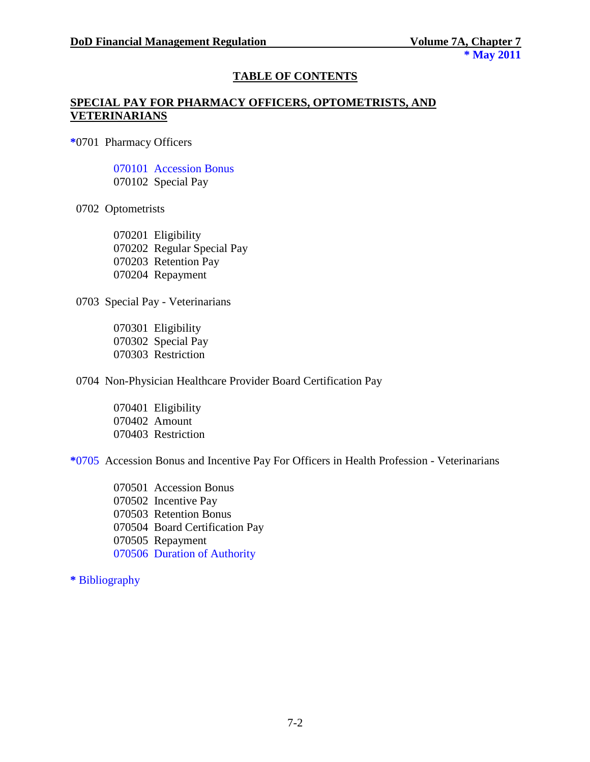### **TABLE OF CONTENTS**

### **SPECIAL PAY FOR PHARMACY OFFICERS, OPTOMETRISTS, AND VETERINARIANS**

**\***0701 Pharmacy Officers

070101 Accession Bonus 070102 Special Pay

0702 Optometrists

070201 Eligibility 070202 Regular Special Pay 070203 Retention Pay 070204 Repayment

0703 Special Pay - Veterinarians

070301 Eligibility 070302 Special Pay 070303 Restriction

0704 Non-Physician Healthcare Provider Board Certification Pay

070401 Eligibility 070402 Amount 070403 Restriction

**\***0705 Accession Bonus and Incentive Pay For Officers in Health Profession - Veterinarians

 070501 Accession Bonus 070502 Incentive Pay 070503 Retention Bonus 070504 Board Certification Pay 070505 Repayment 070506 Duration of Authority

**\*** Bibliography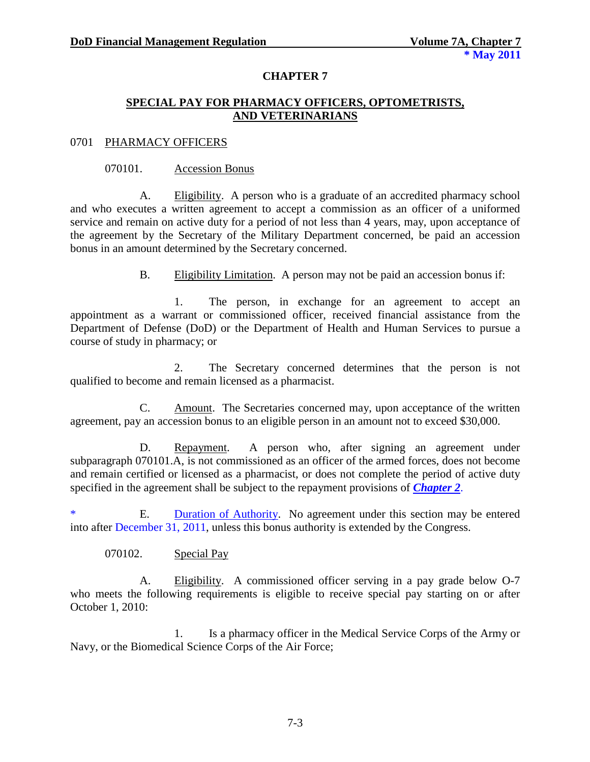## **CHAPTER 7**

### **SPECIAL PAY FOR PHARMACY OFFICERS, OPTOMETRISTS, AND VETERINARIANS**

#### 0701 PHARMACY OFFICERS

#### 070101. Accession Bonus

A. Eligibility. A person who is a graduate of an accredited pharmacy school and who executes a written agreement to accept a commission as an officer of a uniformed service and remain on active duty for a period of not less than 4 years, may, upon acceptance of the agreement by the Secretary of the Military Department concerned, be paid an accession bonus in an amount determined by the Secretary concerned.

B. Eligibility Limitation. A person may not be paid an accession bonus if:

1. The person, in exchange for an agreement to accept an appointment as a warrant or commissioned officer, received financial assistance from the Department of Defense (DoD) or the Department of Health and Human Services to pursue a course of study in pharmacy; or

2. The Secretary concerned determines that the person is not qualified to become and remain licensed as a pharmacist.

C. Amount. The Secretaries concerned may, upon acceptance of the written agreement, pay an accession bonus to an eligible person in an amount not to exceed \$30,000.

D. Repayment. A person who, after signing an agreement under subparagraph 070101.A, is not commissioned as an officer of the armed forces, does not become and remain certified or licensed as a pharmacist, or does not complete the period of active duty specified in the agreement shall be subject to the repayment provisions of *[Chapter 2](http://comptroller.defense.gov/fmr/07a/07a_02.pdf)*.

\* E. Duration of Authority. No agreement under this section may be entered into after December 31, 2011, unless this bonus authority is extended by the Congress.

070102. Special Pay

A. Eligibility. A commissioned officer serving in a pay grade below O-7 who meets the following requirements is eligible to receive special pay starting on or after October 1, 2010:

1. Is a pharmacy officer in the Medical Service Corps of the Army or Navy, or the Biomedical Science Corps of the Air Force;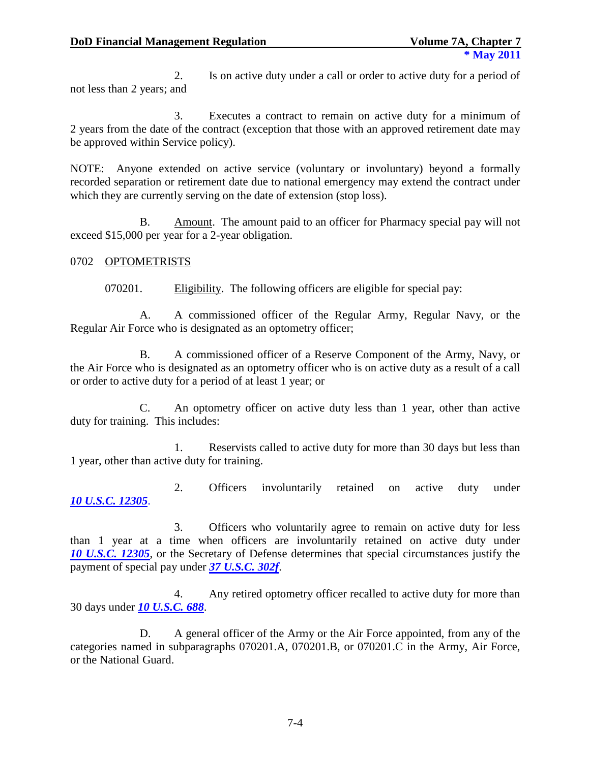2. Is on active duty under a call or order to active duty for a period of not less than 2 years; and

3. Executes a contract to remain on active duty for a minimum of 2 years from the date of the contract (exception that those with an approved retirement date may be approved within Service policy).

NOTE: Anyone extended on active service (voluntary or involuntary) beyond a formally recorded separation or retirement date due to national emergency may extend the contract under which they are currently serving on the date of extension (stop loss).

B. Amount. The amount paid to an officer for Pharmacy special pay will not exceed \$15,000 per year for a 2-year obligation.

## 0702 OPTOMETRISTS

070201. Eligibility. The following officers are eligible for special pay:

A. A commissioned officer of the Regular Army, Regular Navy, or the Regular Air Force who is designated as an optometry officer;

B. A commissioned officer of a Reserve Component of the Army, Navy, or the Air Force who is designated as an optometry officer who is on active duty as a result of a call or order to active duty for a period of at least 1 year; or

C. An optometry officer on active duty less than 1 year, other than active duty for training. This includes:

1. Reservists called to active duty for more than 30 days but less than 1 year, other than active duty for training.

2. Officers involuntarily retained on active duty under *10 [U.S.C.](http://www.law.cornell.edu/uscode/html/uscode10/usc_sec_10_00012305----000-.html) 12305*.

3. Officers who voluntarily agree to remain on active duty for less than 1 year at a time when officers are involuntarily retained on active duty under *[10 U.S.C. 12305](http://www.law.cornell.edu/uscode/html/uscode10/usc_sec_10_00012305----000-.html)*, or the Secretary of Defense determines that special circumstances justify the payment of special pay under *[37 U.S.C. 302f](http://www.law.cornell.edu/uscode/html/uscode37/usc_sec_37_00000302---f000-.html)*.

4. Any retired optometry officer recalled to active duty for more than 30 days under *[10 U.S.C. 688](http://www.law.cornell.edu/uscode/html/uscode10/usc_sec_10_00000688----000-.html)*.

D. A general officer of the Army or the Air Force appointed, from any of the categories named in subparagraphs 070201.A, 070201.B, or 070201.C in the Army, Air Force, or the National Guard.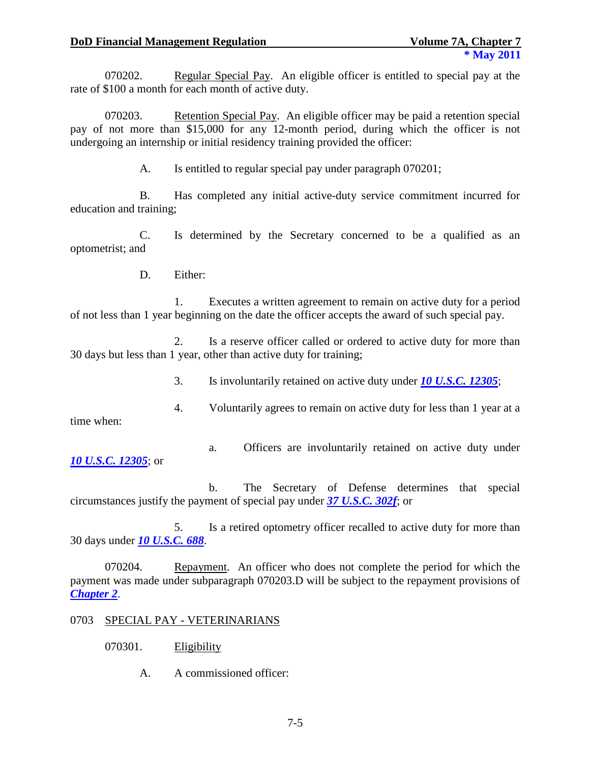070202. Regular Special Pay. An eligible officer is entitled to special pay at the rate of \$100 a month for each month of active duty.

070203. Retention Special Pay. An eligible officer may be paid a retention special pay of not more than \$15,000 for any 12-month period, during which the officer is not undergoing an internship or initial residency training provided the officer:

A. Is entitled to regular special pay under paragraph 070201;

B. Has completed any initial active-duty service commitment incurred for education and training;

C. Is determined by the Secretary concerned to be a qualified as an optometrist; and

D. Either:

1. Executes a written agreement to remain on active duty for a period of not less than 1 year beginning on the date the officer accepts the award of such special pay.

2. Is a reserve officer called or ordered to active duty for more than 30 days but less than 1 year, other than active duty for training;

3. Is involuntarily retained on active duty under *[10 U.S.C. 12305](http://www.law.cornell.edu/uscode/html/uscode10/usc_sec_10_00012305----000-.html)*;

4. Voluntarily agrees to remain on active duty for less than 1 year at a

time when:

- *[10 U.S.C. 12305](http://www.law.cornell.edu/uscode/html/uscode10/usc_sec_10_00012305----000-.html)*; or
- a. Officers are involuntarily retained on active duty under

b. The Secretary of Defense determines that special circumstances justify the payment of special pay under *[37 U.S.C. 302f](http://www.law.cornell.edu/uscode/html/uscode37/usc_sec_37_00000302---f000-.html)*; or

5. Is a retired optometry officer recalled to active duty for more than 30 days under *[10 U.S.C. 688](http://www.law.cornell.edu/uscode/html/uscode10/usc_sec_10_00000688----000-.html)*.

070204. Repayment. An officer who does not complete the period for which the payment was made under subparagraph 070203.D will be subject to the repayment provisions of *[Chapter 2](http://www.defenselink.mil/comptroller/fmr/07a/07a_02.pdf)*.

## 0703 SPECIAL PAY - VETERINARIANS

- 070301. Eligibility
	- A. A commissioned officer: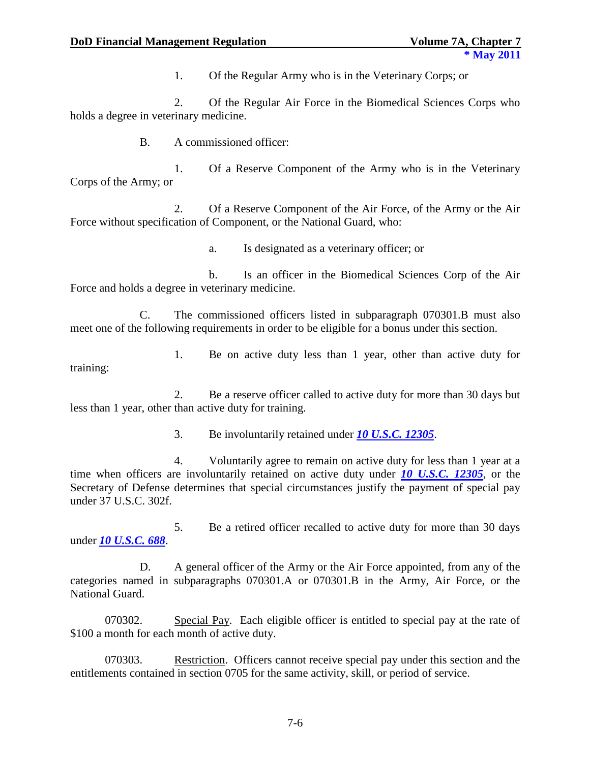1. Of the Regular Army who is in the Veterinary Corps; or

2. Of the Regular Air Force in the Biomedical Sciences Corps who holds a degree in veterinary medicine.

B. A commissioned officer:

1. Of a Reserve Component of the Army who is in the Veterinary Corps of the Army; or

2. Of a Reserve Component of the Air Force, of the Army or the Air Force without specification of Component, or the National Guard, who:

a. Is designated as a veterinary officer; or

b. Is an officer in the Biomedical Sciences Corp of the Air Force and holds a degree in veterinary medicine.

C. The commissioned officers listed in subparagraph 070301.B must also meet one of the following requirements in order to be eligible for a bonus under this section.

1. Be on active duty less than 1 year, other than active duty for training:

2. Be a reserve officer called to active duty for more than 30 days but less than 1 year, other than active duty for training.

3. Be involuntarily retained under *[10 U.S.C. 12305](http://www.law.cornell.edu/uscode/html/uscode10/usc_sec_10_00012305----000-.html)*.

4. Voluntarily agree to remain on active duty for less than 1 year at a time when officers are involuntarily retained on active duty under *[10 U.S.C. 12305](http://www.law.cornell.edu/uscode/html/uscode10/usc_sec_10_00012305----000-.html)*, or the Secretary of Defense determines that special circumstances justify the payment of special pay under 37 U.S.C. 302f.

5. Be a retired officer recalled to active duty for more than 30 days under *[10 U.S.C. 688](http://www.law.cornell.edu/uscode/html/uscode10/usc_sec_10_00000688----000-.html)*.

D. A general officer of the Army or the Air Force appointed, from any of the categories named in subparagraphs 070301.A or 070301.B in the Army, Air Force, or the National Guard.

070302. Special Pay. Each eligible officer is entitled to special pay at the rate of \$100 a month for each month of active duty.

070303. Restriction. Officers cannot receive special pay under this section and the entitlements contained in section 0705 for the same activity, skill, or period of service.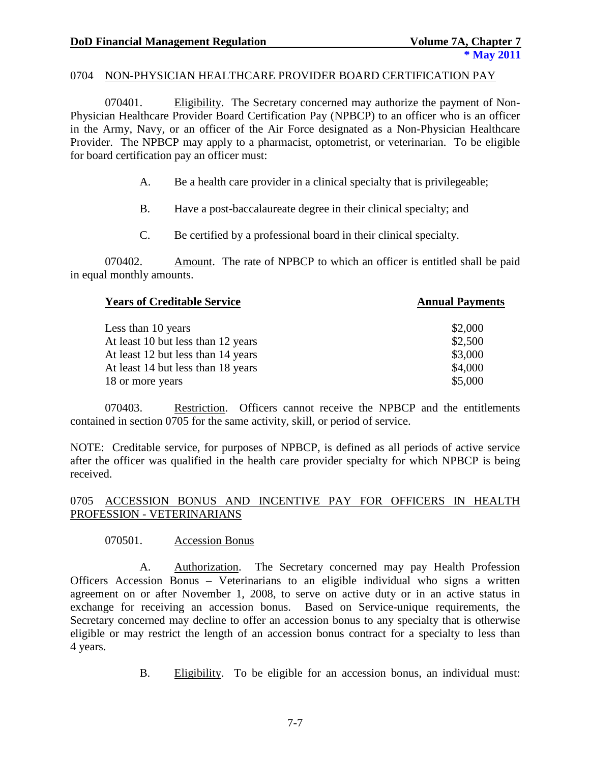### 0704 NON-PHYSICIAN HEALTHCARE PROVIDER BOARD CERTIFICATION PAY

070401. Eligibility. The Secretary concerned may authorize the payment of Non-Physician Healthcare Provider Board Certification Pay (NPBCP) to an officer who is an officer in the Army, Navy, or an officer of the Air Force designated as a Non-Physician Healthcare Provider. The NPBCP may apply to a pharmacist, optometrist, or veterinarian. To be eligible for board certification pay an officer must:

- A. Be a health care provider in a clinical specialty that is privilegeable;
- B. Have a post-baccalaureate degree in their clinical specialty; and
- C. Be certified by a professional board in their clinical specialty.

070402. Amount. The rate of NPBCP to which an officer is entitled shall be paid in equal monthly amounts.

| <b>Years of Creditable Service</b> | <b>Annual Payments</b> |  |
|------------------------------------|------------------------|--|
| Less than 10 years                 | \$2,000                |  |
| At least 10 but less than 12 years | \$2,500                |  |
| At least 12 but less than 14 years | \$3,000                |  |
| At least 14 but less than 18 years | \$4,000                |  |
| 18 or more years                   | \$5,000                |  |

070403. Restriction. Officers cannot receive the NPBCP and the entitlements contained in section 0705 for the same activity, skill, or period of service.

NOTE: Creditable service, for purposes of NPBCP, is defined as all periods of active service after the officer was qualified in the health care provider specialty for which NPBCP is being received.

## 0705 ACCESSION BONUS AND INCENTIVE PAY FOR OFFICERS IN HEALTH PROFESSION - VETERINARIANS

## 070501. Accession Bonus

A. Authorization. The Secretary concerned may pay Health Profession Officers Accession Bonus – Veterinarians to an eligible individual who signs a written agreement on or after November 1, 2008, to serve on active duty or in an active status in exchange for receiving an accession bonus. Based on Service-unique requirements, the Secretary concerned may decline to offer an accession bonus to any specialty that is otherwise eligible or may restrict the length of an accession bonus contract for a specialty to less than 4 years.

B. Eligibility. To be eligible for an accession bonus, an individual must: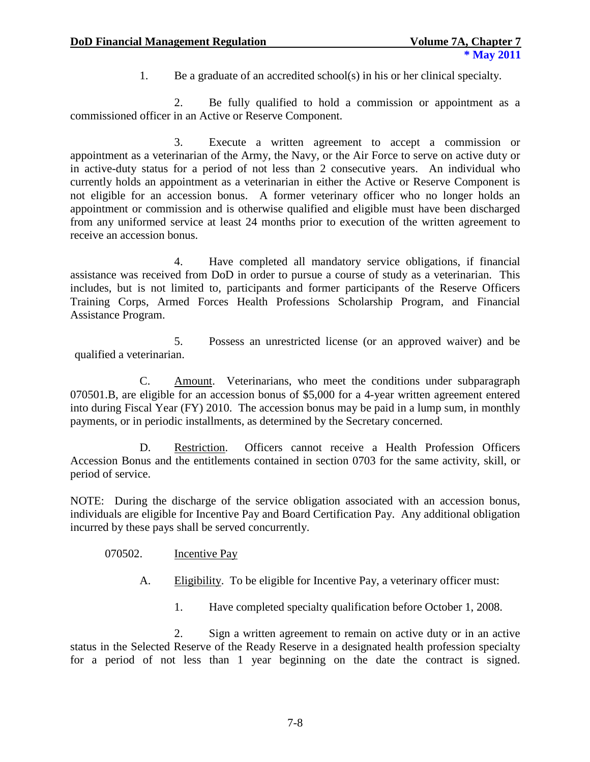1. Be a graduate of an accredited school(s) in his or her clinical specialty.

2. Be fully qualified to hold a commission or appointment as a commissioned officer in an Active or Reserve Component.

3. Execute a written agreement to accept a commission or appointment as a veterinarian of the Army, the Navy, or the Air Force to serve on active duty or in active-duty status for a period of not less than 2 consecutive years. An individual who currently holds an appointment as a veterinarian in either the Active or Reserve Component is not eligible for an accession bonus. A former veterinary officer who no longer holds an appointment or commission and is otherwise qualified and eligible must have been discharged from any uniformed service at least 24 months prior to execution of the written agreement to receive an accession bonus.

4. Have completed all mandatory service obligations, if financial assistance was received from DoD in order to pursue a course of study as a veterinarian. This includes, but is not limited to, participants and former participants of the Reserve Officers Training Corps, Armed Forces Health Professions Scholarship Program, and Financial Assistance Program.

5. Possess an unrestricted license (or an approved waiver) and be qualified a veterinarian.

C. Amount. Veterinarians, who meet the conditions under subparagraph 070501.B, are eligible for an accession bonus of \$5,000 for a 4-year written agreement entered into during Fiscal Year (FY) 2010. The accession bonus may be paid in a lump sum, in monthly payments, or in periodic installments, as determined by the Secretary concerned.

D. Restriction. Officers cannot receive a Health Profession Officers Accession Bonus and the entitlements contained in section 0703 for the same activity, skill, or period of service.

NOTE: During the discharge of the service obligation associated with an accession bonus, individuals are eligible for Incentive Pay and Board Certification Pay. Any additional obligation incurred by these pays shall be served concurrently.

070502. Incentive Pay

A. Eligibility. To be eligible for Incentive Pay, a veterinary officer must:

1. Have completed specialty qualification before October 1, 2008.

2. Sign a written agreement to remain on active duty or in an active status in the Selected Reserve of the Ready Reserve in a designated health profession specialty for a period of not less than 1 year beginning on the date the contract is signed.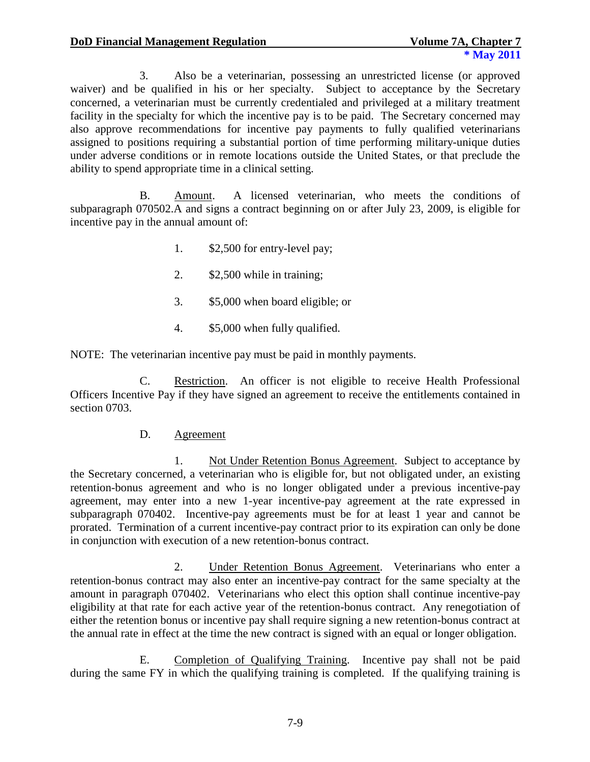3. Also be a veterinarian, possessing an unrestricted license (or approved waiver) and be qualified in his or her specialty. Subject to acceptance by the Secretary concerned, a veterinarian must be currently credentialed and privileged at a military treatment facility in the specialty for which the incentive pay is to be paid. The Secretary concerned may also approve recommendations for incentive pay payments to fully qualified veterinarians assigned to positions requiring a substantial portion of time performing military-unique duties under adverse conditions or in remote locations outside the United States, or that preclude the ability to spend appropriate time in a clinical setting.

B. Amount. A licensed veterinarian, who meets the conditions of subparagraph 070502.A and signs a contract beginning on or after July 23, 2009, is eligible for incentive pay in the annual amount of:

- 1. \$2,500 for entry-level pay;
- 2. \$2,500 while in training;
- 3. \$5,000 when board eligible; or
- 4. \$5,000 when fully qualified.

NOTE: The veterinarian incentive pay must be paid in monthly payments.

C. Restriction. An officer is not eligible to receive Health Professional Officers Incentive Pay if they have signed an agreement to receive the entitlements contained in section 0703.

## D. Agreement

1. Not Under Retention Bonus Agreement. Subject to acceptance by the Secretary concerned, a veterinarian who is eligible for, but not obligated under, an existing retention-bonus agreement and who is no longer obligated under a previous incentive-pay agreement, may enter into a new 1-year incentive-pay agreement at the rate expressed in subparagraph 070402. Incentive-pay agreements must be for at least 1 year and cannot be prorated. Termination of a current incentive-pay contract prior to its expiration can only be done in conjunction with execution of a new retention-bonus contract.

2. Under Retention Bonus Agreement. Veterinarians who enter a retention-bonus contract may also enter an incentive-pay contract for the same specialty at the amount in paragraph 070402. Veterinarians who elect this option shall continue incentive-pay eligibility at that rate for each active year of the retention-bonus contract. Any renegotiation of either the retention bonus or incentive pay shall require signing a new retention-bonus contract at the annual rate in effect at the time the new contract is signed with an equal or longer obligation.

E. Completion of Qualifying Training. Incentive pay shall not be paid during the same FY in which the qualifying training is completed. If the qualifying training is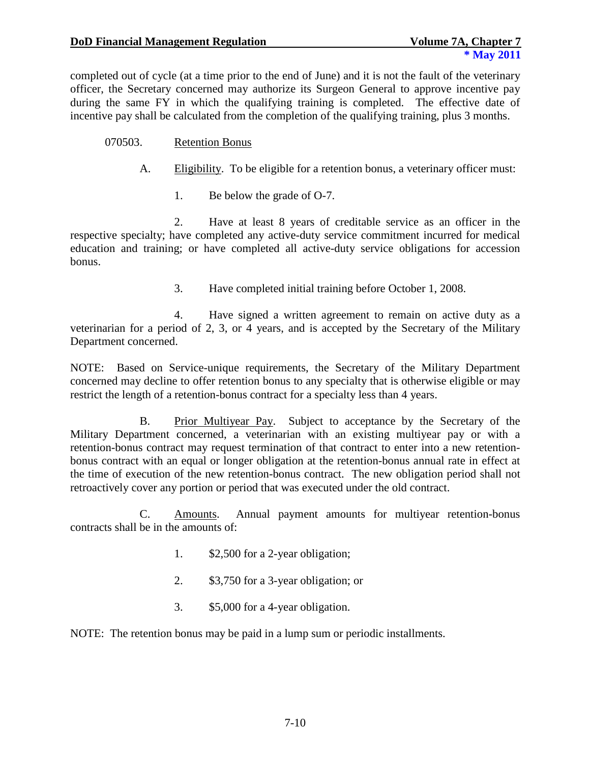completed out of cycle (at a time prior to the end of June) and it is not the fault of the veterinary officer, the Secretary concerned may authorize its Surgeon General to approve incentive pay during the same FY in which the qualifying training is completed. The effective date of incentive pay shall be calculated from the completion of the qualifying training, plus 3 months.

- 070503. Retention Bonus
	- A. Eligibility. To be eligible for a retention bonus, a veterinary officer must:
		- 1. Be below the grade of O-7.

2. Have at least 8 years of creditable service as an officer in the respective specialty; have completed any active-duty service commitment incurred for medical education and training; or have completed all active-duty service obligations for accession bonus.

3. Have completed initial training before October 1, 2008.

4. Have signed a written agreement to remain on active duty as a veterinarian for a period of 2, 3, or 4 years, and is accepted by the Secretary of the Military Department concerned.

NOTE: Based on Service-unique requirements, the Secretary of the Military Department concerned may decline to offer retention bonus to any specialty that is otherwise eligible or may restrict the length of a retention-bonus contract for a specialty less than 4 years.

B. Prior Multiyear Pay. Subject to acceptance by the Secretary of the Military Department concerned, a veterinarian with an existing multiyear pay or with a retention-bonus contract may request termination of that contract to enter into a new retentionbonus contract with an equal or longer obligation at the retention-bonus annual rate in effect at the time of execution of the new retention-bonus contract. The new obligation period shall not retroactively cover any portion or period that was executed under the old contract.

C. Amounts. Annual payment amounts for multiyear retention-bonus contracts shall be in the amounts of:

- 1. \$2,500 for a 2-year obligation;
- 2. \$3,750 for a 3-year obligation; or
- 3. \$5,000 for a 4-year obligation.

NOTE: The retention bonus may be paid in a lump sum or periodic installments.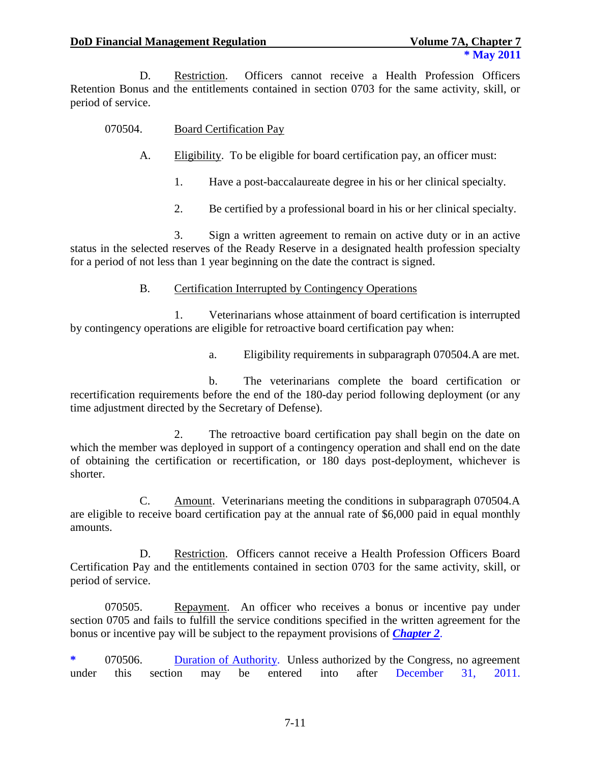D. Restriction. Officers cannot receive a Health Profession Officers Retention Bonus and the entitlements contained in section 0703 for the same activity, skill, or period of service.

### 070504. Board Certification Pay

- A. Eligibility. To be eligible for board certification pay, an officer must:
	- 1. Have a post-baccalaureate degree in his or her clinical specialty.
	- 2. Be certified by a professional board in his or her clinical specialty.

3. Sign a written agreement to remain on active duty or in an active status in the selected reserves of the Ready Reserve in a designated health profession specialty for a period of not less than 1 year beginning on the date the contract is signed.

#### B. Certification Interrupted by Contingency Operations

1. Veterinarians whose attainment of board certification is interrupted by contingency operations are eligible for retroactive board certification pay when:

a. Eligibility requirements in subparagraph 070504.A are met.

b. The veterinarians complete the board certification or recertification requirements before the end of the 180-day period following deployment (or any time adjustment directed by the Secretary of Defense).

2. The retroactive board certification pay shall begin on the date on which the member was deployed in support of a contingency operation and shall end on the date of obtaining the certification or recertification, or 180 days post-deployment, whichever is shorter.

C. Amount. Veterinarians meeting the conditions in subparagraph 070504.A are eligible to receive board certification pay at the annual rate of \$6,000 paid in equal monthly amounts.

D. Restriction. Officers cannot receive a Health Profession Officers Board Certification Pay and the entitlements contained in section 0703 for the same activity, skill, or period of service.

070505. Repayment. An officer who receives a bonus or incentive pay under section 0705 and fails to fulfill the service conditions specified in the written agreement for the bonus or incentive pay will be subject to the repayment provisions of *[Chapter 2](http://www.defenselink.mil/comptroller/fmr/07a/07a_02.pdf)*.

**\*** 070506. Duration of Authority. Unless authorized by the Congress, no agreement under this section may be entered into after December 31, 2011.